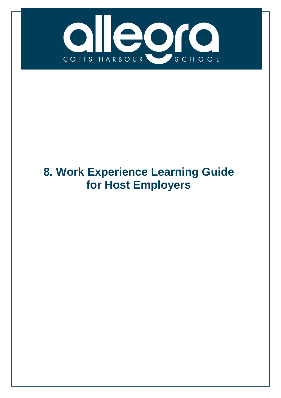

# **8. Work Experience Learning Guide for Host Employers**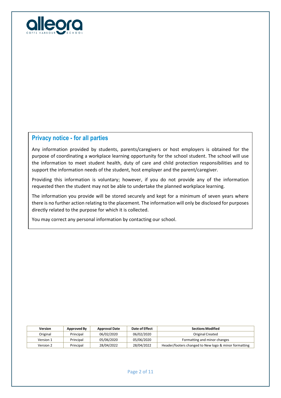

### **Privacy notice - for all parties**

Any information provided by students, parents/caregivers or host employers is obtained for the purpose of coordinating a workplace learning opportunity for the school student. The school will use the information to meet student health, duty of care and child protection responsibilities and to support the information needs of the student, host employer and the parent/caregiver.

Providing this information is voluntary; however, if you do not provide any of the information requested then the student may not be able to undertake the planned workplace learning.

The information you provide will be stored securely and kept for a minimum of seven years where there is no further action relating to the placement. The information will only be disclosed for purposes directly related to the purpose for which it is collected.

You may correct any personal information by contacting our school.

| <b>Version</b> | Approved By | <b>Approval Date</b> | Date of Effect | <b>Sections Modified</b>                              |
|----------------|-------------|----------------------|----------------|-------------------------------------------------------|
| Original       | Principal   | 06/02/2020           | 06/02/2020     | Original Created                                      |
| Version 1      | Principal   | 05/06/2020           | 05/06/2020     | Formatting and minor changes                          |
| Version 2      | Principal   | 28/04/2022           | 28/04/2022     | Header/footers changed to New logo & minor formatting |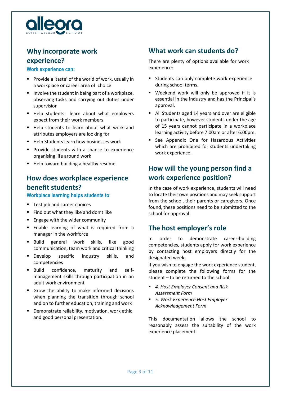

# **Why incorporate work experience?**

#### **Work experience can:**

- **Provide a 'taste' of the world of work, usually in** a workplace or career area of choice
- **IDED** Involve the student in being part of a workplace, observing tasks and carrying out duties under supervision
- Help students learn about what employers expect from their work members
- Help students to learn about what work and attributes employers are looking for
- Help Students learn how businesses work
- **Provide students with a chance to experience** organising life around work
- Help toward building a healthy resume

# **How does workplace experience benefit students?**

**Workplace learning helps students to**:

- Test job and career choices
- Find out what they like and don't like
- **Engage with the wider community**
- **Enable learning of what is required from a** manager in the workforce
- Build general work skills, like good communication, team work and critical thinking
- **Develop specific industry skills, and** competencies
- Build confidence, maturity and selfmanagement skills through participation in an adult work environment
- Grow the ability to make informed decisions when planning the transition through school and on to further education, training and work
- **P** Demonstrate reliability, motivation, work ethic and good personal presentation.

### **What work can students do?**

There are plenty of options available for work experience:

- Students can only complete work experience during school terms.
- Weekend work will only be approved if it is essential in the industry and has the Principal's approval.
- All Students aged 14 years and over are eligible to participate, however students under the age of 15 years cannot participate in a workplace learning activity before 7:00am or after 6:00pm.
- **See Appendix One for Hazardous Activities** which are prohibited for students undertaking work experience.

# **How will the young person find a work experience position?**

In the case of work experience, students will need to locate their own positions and may seek support from the school, their parents or caregivers. Once found, these positions need to be submitted to the school for approval.

### **The host employer's role**

In order to demonstrate career-building competencies, students apply for work experience by contacting host employers directly for the designated week.

If you wish to engage the work experience student, please complete the following forms for the student – to be returned to the school:

- *4. Host Employer Consent and Risk Assessment Form*
- *5. Work Experience Host Employer Acknowledgement Form*

This documentation allows the school to reasonably assess the suitability of the work experience placement.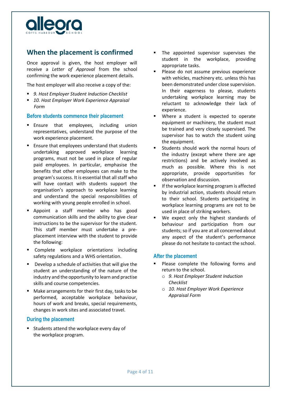

## **When the placement is confirmed**

Once approval is given, the host employer will receive a *Letter of Approval* from the school confirming the work experience placement details.

The host employer will also receive a copy of the:

- *9. Host Employer Student Induction Checklist*
- *10. Host Employer Work Experience Appraisal Form*

#### **Before students commence their placement**

- **Ensure that employees, including union** representatives, understand the purpose of the work experience placement.
- **Ensure that employees understand that students** undertaking approved workplace learning programs, must not be used in place of regular paid employees. In particular, emphasise the benefits that other employees can make to the program's success. It is essential that all staff who will have contact with students support the organisation's approach to workplace learning and understand the special responsibilities of working with young people enrolled in school.
- **Appoint a staff member who has good** communication skills and the ability to give clear instructions to be the supervisor for the student. This staff member must undertake a preplacement interview with the student to provide the following:
- **Complete workplace orientations including** safety regulations and a WHS orientation.
- Develop a schedule of activities that will give the student an understanding of the nature of the industry and the opportunity to learn and practise skills and course competencies.
- Make arrangements for their first day, tasks to be performed, acceptable workplace behaviour, hours of work and breaks, special requirements, changes in work sites and associated travel.

#### **During the placement**

 Students attend the workplace every day of the workplace program.

- The appointed supervisor supervises the student in the workplace, providing appropriate tasks.
- Please do not assume previous experience with vehicles, machinery etc. unless this has been demonstrated under close supervision. In their eagerness to please, students undertaking workplace learning may be reluctant to acknowledge their lack of experience.
- Where a student is expected to operate equipment or machinery, the student must be trained and very closely supervised. The supervisor has to watch the student using the equipment.
- Students should work the normal hours of the industry (except where there are age restrictions) and be actively involved as much as possible. Where this is not appropriate, provide opportunities for observation and discussion.
- If the workplace learning program is affected by industrial action, students should return to their school. Students participating in workplace learning programs are not to be used in place of striking workers.
- We expect only the highest standards of behaviour and participation from our students; so if you are at all concerned about any aspect of the student's performance please do not hesitate to contact the school.

#### **After the placement**

- **Please complete the following forms and** return to the school.
	- o *9. Host Employer Student Induction Checklist*
	- o *10. Host Employer Work Experience Appraisal Form*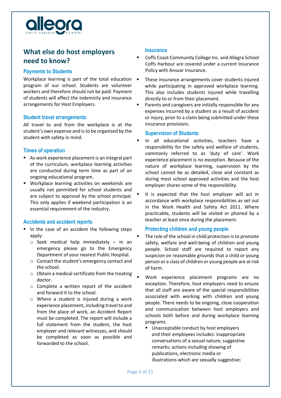

# **What else do host employers need to know?**

#### **Payments to Students**

Workplace learning is part of the total education  $\blacksquare$ program of our school. Students are volunteer workers and therefore should not be paid. Payment of students will affect the indemnity and insurance arrangements for Host Employers.

#### **Student travel arrangements**

All travel to and from the workplace is at the student's own expense and is to be organised by the student with safety in mind.

#### **Times of operation**

- As work experience placement is an integral part of the curriculum, workplace learning activities are conducted during term time as part of an ongoing educational program.
- Workplace learning activities on weekends are usually not permitted for school students and are subject to approval by the school principal. This only applies if weekend participation is an essential requirement of the industry.

#### **Accidents and accident reports**

- In the case of an accident the following steps apply:
	- o Seek medical help immediately in an emergency please go to the Emergency Department of your nearest Public Hospital.
	- o Contact the student's emergency contact and the school.
	- o Obtain a medical certificate from the treating doctor.
	- o Complete a written report of the accident and forward it to the school.
	- o Where a student is injured during a work experience placement, including travel to and from the place of work, an Accident Report must be completed. The report will include a full statement from the student, the host employer and relevant witnesses, and should be completed as soon as possible and forwarded to the school.

#### **Insurance**

- Coffs Coast Community College Inc. and Allegra School Coffs Harbour are covered under a current Insurance Policy with Ansvar Insurance.
- These insurance arrangements cover students injured while participating in approved workplace learning. This also includes students injured while travelling directly to or from their placement.
- Parents and caregivers are initially responsible for any expenses incurred by a student as a result of accident or injury, prior to a claim being submitted under these insurance provisions.

#### **Supervision of Students**

- In all educational activities, teachers have a responsibility for the safety and welfare of students, commonly referred to as 'duty of care'. Work experience placement is no exception. Because of the nature of workplace learning, supervision by the school cannot be as detailed, close and constant as during most school approved activities and the host employer shares some of the responsibility.
- It is expected that the host employer will act in accordance with workplace responsibilities as set out in the Work Health and Safety Act 2011. Where practicable, students will be visited or phoned by a teacher at least once during the placement.

#### **Protecting children and young people**

- The role of the school in child protection is to promote safety, welfare and well-being of children and young people. School staff are required to report any suspicion on reasonable grounds that a child or young person or a class of children or young people are at risk of harm.
- Work experience placement programs are no exception. Therefore, host employers need to ensure that all staff are aware of the special responsibilities associated with working with children and young people. There needs to be ongoing, close cooperation and communication between host employers and schools both before and during workplace learning programs.
	- Unacceptable conduct by host employers and their employees includes: inappropriate conversations of a sexual nature; suggestive remarks; actions including showing of publications, electronic media or illustrations which are sexually suggestive;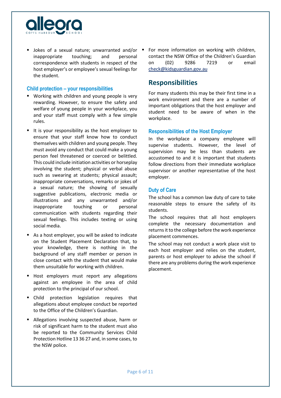

**Jokes of a sexual nature: unwarranted and/or =** inappropriate touching; and personal correspondence with students in respect of the host employer's or employee's sexual feelings for the student.

#### **Child protection – your responsibilities**

- **Working with children and young people is very** rewarding. However, to ensure the safety and welfare of young people in your workplace, you and your staff must comply with a few simple rules.
- $\blacksquare$  It is your responsibility as the host employer to ensure that your staff know how to conduct themselves with children and young people. They must avoid any conduct that could make a young person feel threatened or coerced or belittled. This could include initiation activities or horseplay involving the student; physical or verbal abuse such as swearing at students; physical assault; inappropriate conversations, remarks or jokes of a sexual nature; the showing of sexually suggestive publications, electronic media or illustrations and any unwarranted and/or inappropriate touching or personal communication with students regarding their sexual feelings. This includes texting or using social media.
- As a host employer, you will be asked to indicate on the Student Placement Declaration that, to your knowledge, there is nothing in the background of any staff member or person in close contact with the student that would make them unsuitable for working with children.
- Host employers must report any allegations against an employee in the area of child protection to the principal of our school.
- Child protection legislation requires that allegations about employee conduct be reported to the Office of the Children's Guardian.
- **Allegations involving suspected abuse, harm or** risk of significant harm to the student must also be reported to the Community Services Child Protection Hotline 13 36 27 and, in some cases, to the NSW police.

 For more information on working with children, contact the NSW Office of the Children's Guardian on (02) 9286 7219 or email [check@kidsguardian.gov.au](mailto:check@kidsguardian.gov.au)

### **Responsibilities**

For many students this may be their first time in a work environment and there are a number of important obligations that the host employer and student need to be aware of when in the workplace.

#### **Responsibilities of the Host Employer**

In the workplace a company employee will supervise students. However, the level of supervision may be less than students are accustomed to and it is important that students follow directions from their immediate workplace supervisor or another representative of the host employer.

#### **Duty of Care**

The school has a common law duty of care to take reasonable steps to ensure the safety of its students.

The school requires that all host employers complete the necessary documentation and returns it to the college before the work experience placement commences.

The school may not conduct a work place visit to each host employer and relies on the student, parents or host employer to advise the school if there are any problems during the work experience placement.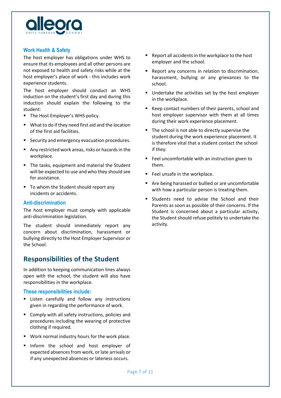

#### **Work Health & Safety**

The host employer has obligations under WHS to ensure that its employees and all other persons are not exposed to health and safety risks while at the host employer's place of work - this includes work experience students.

The host employer should conduct an WHS induction on the student's first day and during this induction should explain the following to the student:

- The Host Employer's WHS policy.
- What to do if they need first aid and the location of the first aid facilities.
- Security and emergency evacuation procedures.
- Any restricted work areas, risks or hazards in the workplace.
- The tasks, equipment and material the Student will be expected to use and who they should see for assistance.
- To whom the Student should report any incidents or accidents.

#### **Anti-discrimination**

The host employer must comply with applicable anti-discrimination legislation.

The student should immediately report any concern about discrimination, harassment or bullying directly to the Host Employer Supervisor or the School.

### **Responsibilities of the Student**

In addition to keeping communication lines always open with the school, the student will also have responsibilities in the workplace.

#### **These responsibilities include:**

- **E** Listen carefully and follow any instructions given in regarding the performance of work.
- Comply with all safety instructions, policies and procedures including the wearing of protective clothing if required.
- Work normal industry hours for the work place.
- Inform the school and host employer of expected absences from work, or late arrivals or if any unexpected absences or lateness occurs.
- Report all accidents in the workplace to the host employer and the school.
- **Report any concerns in relation to discrimination,** harassment, bullying or any grievances to the school.
- **Undertake the activities set by the host employer** in the workplace.
- Keep contact numbers of their parents, school and host employer supervisor with them at all times during their work experience placement.
- The school is not able to directly supervise the student during the work experience placement. It is therefore vital that a student contact the school if they:
- Feel uncomfortable with an instruction given to them.
- Feel unsafe in the workplace.
- Are being harassed or bullied or are uncomfortable with how a particular person is treating them.
- **Students need to advise the School and their** Parents as soon as possible of their concerns. If the Student is concerned about a particular activity, the Student should refuse politely to undertake the activity.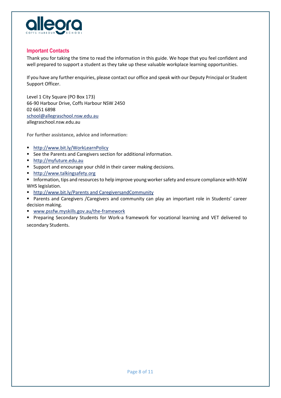

#### **Important Contacts**

Thank you for taking the time to read the information in this guide. We hope that you feel confident and well prepared to support a student as they take up these valuable workplace learning opportunities.

If you have any further enquiries, please contact our office and speak with our Deputy Principal or Student Support Officer.

Level 1 City Square (PO Box 173) 66-90 Harbour Drive, Coffs Harbour NSW 2450 02 6651 6898 [school@allegraschool.nsw.edu.au](mailto:school@allegraschool.nsw.edu.au) allegraschool.nsw.edu.au

**For further assistance, advice and information:**

- <http://www.bit.ly/WorkLearnPolicy>
- **F** See the Parents and Caregivers section for additional information.
- [http://myfuture.edu.au](http://myfuture.edu.au/)
- **Support and encourage your child in their career making decisions.**
- [http://www.talkingsafety.org](http://www.talkingsafety.org/)
- **Information, tips and resources to help improve young worker safety and ensure compliance with NSW** WHS legislation.
- [http://www.bit.ly/Parents and CaregiversandCommunity](http://www.bit.ly/ParentsandCommunity)

**Parents and Caregivers / Caregivers and community can play an important role in Students' career** decision making.

- [www.pssfw.myskills.gov.au/the-framework](http://www.pssfw.myskills.gov.au/the-framework)
- Preparing Secondary Students for Work-a framework for vocational learning and VET delivered to secondary Students.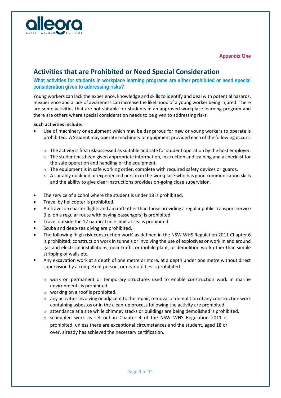

**Appendix One**

# **Activities that are Prohibited or Need Special Consideration**

#### **What activities for students in workplace learning programs are either prohibited or need special consideration given to addressing risks?**

Young workers can lack the experience, knowledge and skills to identify and deal with potential hazards. Inexperience and a lack of awareness can increase the likelihood of a young worker being injured. There are some activities that are not suitable for students in an approved workplace learning program and there are others where special consideration needs to be given to addressing risks.

#### **Such activities include:**

- Use of machinery or equipment which may be dangerous for new or young workers to operate is prohibited. A Student may operate machinery or equipment provided each of the following occurs:
	- $\circ$  The activity is first risk-assessed as suitable and safe for student operation by the host employer.
	- $\circ$  The student has been given appropriate information, instruction and training and a checklist for the safe operation and handling of the equipment.
	- $\circ$  The equipment is in safe working order, complete with required safety devices or guards.
	- $\circ$  A suitably qualified or experienced person in the workplace who has good communication skills and the ability to give clear instructions provides on-going close supervision.
- The service of alcohol where the student is under 18 is prohibited.
- Travel by helicopter is prohibited.
- Air travel on charter flights and aircraft other than those providing a regular public transport service (i.e. on a regular route with paying passengers) is prohibited.
- Travel outside the 12 nautical mile limit at sea is prohibited.
- Scuba and deep-sea diving are prohibited.
- The following 'high risk construction work' as defined in the NSW WHS Regulation 2011 Chapter 6 is prohibited: construction work in tunnels or involving the use of explosives or work in and around gas and electrical installations; near traffic or mobile plant, or demolition work other than simple stripping of walls etc.
- Any excavation work at a depth of one metre or more, at a depth under one metre without direct supervision by a competent person, or near utilities is prohibited.
	- $\circ$  work on permanent or temporary structures used to enable construction work in marine environments is prohibited.
	- $\circ$  working on a roof is prohibited.
	- $\circ$  any activities involving or adjacent to the repair, removal or demolition of any construction work containing asbestos or in the clean-up process following the activity are prohibited.
	- $\circ$  attendance at a site while chimney stacks or buildings are being demolished is prohibited.
	- $\circ$  scheduled work as set out in Chapter 4 of the NSW WHS Regulation 2011 is prohibited, unless there are exceptional circumstances and the student, aged 18 or over, already has achieved the necessary certification.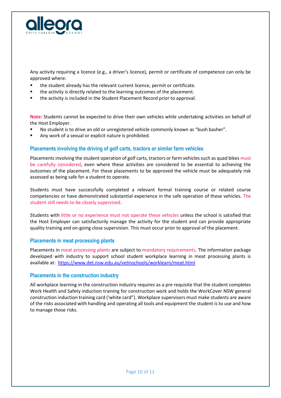

Any activity requiring a licence (e.g., a driver's licence), permit or certificate of competence can only be approved where:

- the student already has the relevant current licence, permit or certificate.
- the activity is directly related to the learning outcomes of the placement.
- the activity is included in the Student Placement Record prior to approval.

**Note:** Students cannot be expected to drive their own vehicles while undertaking activities on behalf of the Host Employer.

- No student is to drive an old or unregistered vehicle commonly known as "bush basher".
- Any work of a sexual or explicit nature is prohibited.

#### **Placements involving the driving of golf carts, tractors or similar farm vehicles**

Placements involving the student operation of golf carts, tractors or farm vehicles such as quad bikes must be carefully considered, even where these activities are considered to be essential to achieving the outcomes of the placement. For these placements to be approved the vehicle must be adequately risk assessed as being safe for a student to operate.

Students must have successfully completed a relevant formal training course or related course competencies or have demonstrated substantial experience in the safe operation of these vehicles. The student still needs to be closely supervised.

Students with little or no experience must not operate these vehicles unless the school is satisfied that the Host Employer can satisfactorily manage the activity for the student and can provide appropriate quality training and on-going close supervision. This must occur prior to approval of the placement.

#### **Placements in meat processing plants**

Placements in meat processing plants are subject to mandatory requirements. The information package developed with industry to support school student workplace learning in meat processing plants is available at: [https://www.det.nsw.edu.au/vetinschools/worklearn/meat.html](about:blank)

#### **Placements in the construction industry**

All workplace learning in the construction industry requires as a pre requisite that the student completes Work Health and Safety induction training for construction work and holds the WorkCover NSW general construction induction training card ('white card"). Workplace supervisors must make students are aware of the risks associated with handling and operating all tools and equipment the student is to use and how to manage those risks.